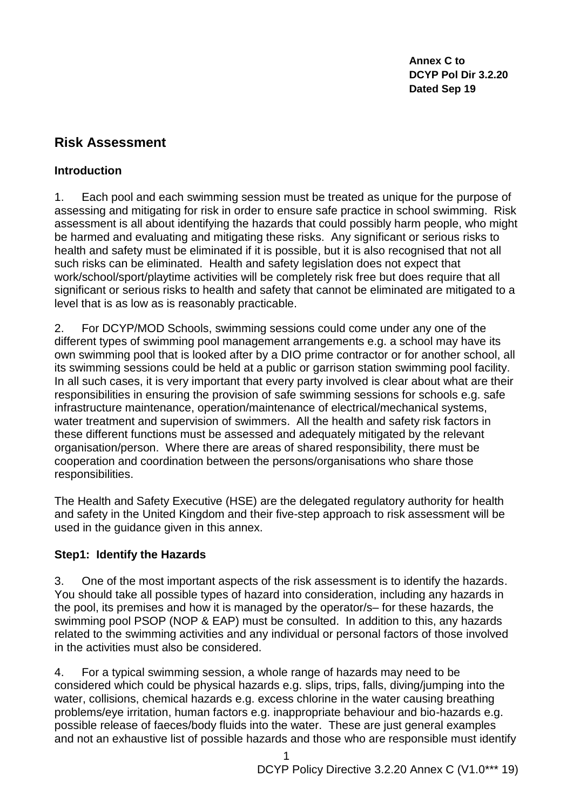**Annex C to DCYP Pol Dir 3.2.20 Dated Sep 19**

## **Risk Assessment**

#### **Introduction**

1. Each pool and each swimming session must be treated as unique for the purpose of assessing and mitigating for risk in order to ensure safe practice in school swimming. Risk assessment is all about identifying the hazards that could possibly harm people, who might be harmed and evaluating and mitigating these risks. Any significant or serious risks to health and safety must be eliminated if it is possible, but it is also recognised that not all such risks can be eliminated. Health and safety legislation does not expect that work/school/sport/playtime activities will be completely risk free but does require that all significant or serious risks to health and safety that cannot be eliminated are mitigated to a level that is as low as is reasonably practicable.

2. For DCYP/MOD Schools, swimming sessions could come under any one of the different types of swimming pool management arrangements e.g. a school may have its own swimming pool that is looked after by a DIO prime contractor or for another school, all its swimming sessions could be held at a public or garrison station swimming pool facility. In all such cases, it is very important that every party involved is clear about what are their responsibilities in ensuring the provision of safe swimming sessions for schools e.g. safe infrastructure maintenance, operation/maintenance of electrical/mechanical systems, water treatment and supervision of swimmers. All the health and safety risk factors in these different functions must be assessed and adequately mitigated by the relevant organisation/person. Where there are areas of shared responsibility, there must be cooperation and coordination between the persons/organisations who share those responsibilities.

The Health and Safety Executive (HSE) are the delegated regulatory authority for health and safety in the United Kingdom and their five-step approach to risk assessment will be used in the guidance given in this annex.

#### **Step1: Identify the Hazards**

3. One of the most important aspects of the risk assessment is to identify the hazards. You should take all possible types of hazard into consideration, including any hazards in the pool, its premises and how it is managed by the operator/s– for these hazards, the swimming pool PSOP (NOP & EAP) must be consulted. In addition to this, any hazards related to the swimming activities and any individual or personal factors of those involved in the activities must also be considered.

4. For a typical swimming session, a whole range of hazards may need to be considered which could be physical hazards e.g. slips, trips, falls, diving/jumping into the water, collisions, chemical hazards e.g. excess chlorine in the water causing breathing problems/eye irritation, human factors e.g. inappropriate behaviour and bio-hazards e.g. possible release of faeces/body fluids into the water. These are just general examples and not an exhaustive list of possible hazards and those who are responsible must identify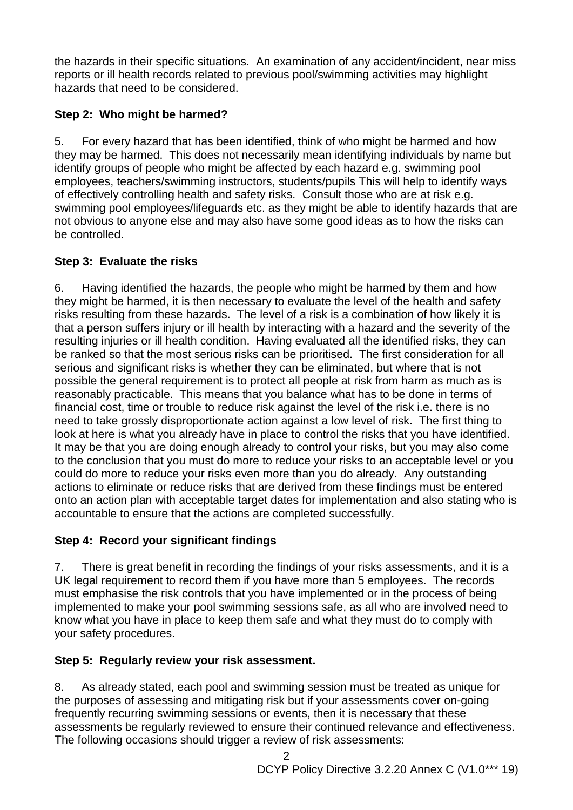the hazards in their specific situations. An examination of any accident/incident, near miss reports or ill health records related to previous pool/swimming activities may highlight hazards that need to be considered.

## **Step 2: Who might be harmed?**

5. For every hazard that has been identified, think of who might be harmed and how they may be harmed. This does not necessarily mean identifying individuals by name but identify groups of people who might be affected by each hazard e.g. swimming pool employees, teachers/swimming instructors, students/pupils This will help to identify ways of effectively controlling health and safety risks. Consult those who are at risk e.g. swimming pool employees/lifeguards etc. as they might be able to identify hazards that are not obvious to anyone else and may also have some good ideas as to how the risks can be controlled.

## **Step 3: Evaluate the risks**

6. Having identified the hazards, the people who might be harmed by them and how they might be harmed, it is then necessary to evaluate the level of the health and safety risks resulting from these hazards. The level of a risk is a combination of how likely it is that a person suffers injury or ill health by interacting with a hazard and the severity of the resulting injuries or ill health condition. Having evaluated all the identified risks, they can be ranked so that the most serious risks can be prioritised. The first consideration for all serious and significant risks is whether they can be eliminated, but where that is not possible the general requirement is to protect all people at risk from harm as much as is reasonably practicable. This means that you balance what has to be done in terms of financial cost, time or trouble to reduce risk against the level of the risk i.e. there is no need to take grossly disproportionate action against a low level of risk. The first thing to look at here is what you already have in place to control the risks that you have identified. It may be that you are doing enough already to control your risks, but you may also come to the conclusion that you must do more to reduce your risks to an acceptable level or you could do more to reduce your risks even more than you do already. Any outstanding actions to eliminate or reduce risks that are derived from these findings must be entered onto an action plan with acceptable target dates for implementation and also stating who is accountable to ensure that the actions are completed successfully.

# **Step 4: Record your significant findings**

7. There is great benefit in recording the findings of your risks assessments, and it is a UK legal requirement to record them if you have more than 5 employees. The records must emphasise the risk controls that you have implemented or in the process of being implemented to make your pool swimming sessions safe, as all who are involved need to know what you have in place to keep them safe and what they must do to comply with your safety procedures.

# **Step 5: Regularly review your risk assessment.**

8. As already stated, each pool and swimming session must be treated as unique for the purposes of assessing and mitigating risk but if your assessments cover on-going frequently recurring swimming sessions or events, then it is necessary that these assessments be regularly reviewed to ensure their continued relevance and effectiveness. The following occasions should trigger a review of risk assessments:

 $\mathfrak{p}$